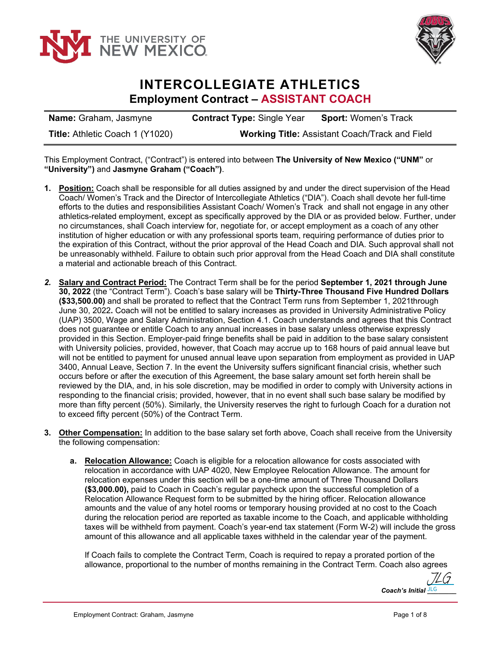



## **INTERCOLLEGIATE ATHLETICS Employment Contract – ASSISTANT COACH**

| <b>Name:</b> Graham, Jasmyne    | <b>Contract Type: Single Year</b>                     | <b>Sport: Women's Track</b> |
|---------------------------------|-------------------------------------------------------|-----------------------------|
| Title: Athletic Coach 1 (Y1020) | <b>Working Title: Assistant Coach/Track and Field</b> |                             |

This Employment Contract, ("Contract") is entered into between **The University of New Mexico ("UNM"** or **"University")** and **Jasmyne Graham ("Coach")**.

- **1. Position:** Coach shall be responsible for all duties assigned by and under the direct supervision of the Head Coach/ Women's Track and the Director of Intercollegiate Athletics ("DIA"). Coach shall devote her full-time efforts to the duties and responsibilities Assistant Coach/ Women's Track and shall not engage in any other athletics-related employment, except as specifically approved by the DIA or as provided below. Further, under no circumstances, shall Coach interview for, negotiate for, or accept employment as a coach of any other institution of higher education or with any professional sports team, requiring performance of duties prior to the expiration of this Contract, without the prior approval of the Head Coach and DIA. Such approval shall not be unreasonably withheld. Failure to obtain such prior approval from the Head Coach and DIA shall constitute a material and actionable breach of this Contract.
- *2.* **Salary and Contract Period:** The Contract Term shall be for the period **September 1, 2021 through June 30, 2022** (the "Contract Term"). Coach's base salary will be **Thirty-Three Thousand Five Hundred Dollars (\$33,500.00)** and shall be prorated to reflect that the Contract Term runs from September 1, 2021through June 30, 2022**.** Coach will not be entitled to salary increases as provided in University Administrative Policy (UAP) 3500, Wage and Salary Administration, Section 4.1. Coach understands and agrees that this Contract does not guarantee or entitle Coach to any annual increases in base salary unless otherwise expressly provided in this Section. Employer-paid fringe benefits shall be paid in addition to the base salary consistent with University policies, provided, however, that Coach may accrue up to 168 hours of paid annual leave but will not be entitled to payment for unused annual leave upon separation from employment as provided in UAP 3400, Annual Leave, Section 7. In the event the University suffers significant financial crisis, whether such occurs before or after the execution of this Agreement, the base salary amount set forth herein shall be reviewed by the DIA, and, in his sole discretion, may be modified in order to comply with University actions in responding to the financial crisis; provided, however, that in no event shall such base salary be modified by more than fifty percent (50%). Similarly, the University reserves the right to furlough Coach for a duration not to exceed fifty percent (50%) of the Contract Term.
- **3. Other Compensation:** In addition to the base salary set forth above, Coach shall receive from the University the following compensation:
	- **a. Relocation Allowance:** Coach is eligible for a relocation allowance for costs associated with relocation in accordance with UAP 4020, New Employee Relocation Allowance. The amount for relocation expenses under this section will be a one-time amount of Three Thousand Dollars **(\$3,000.00),** paid to Coach in Coach's regular paycheck upon the successful completion of a Relocation Allowance Request form to be submitted by the hiring officer. Relocation allowance amounts and the value of any hotel rooms or temporary housing provided at no cost to the Coach during the relocation period are reported as taxable income to the Coach, and applicable withholding taxes will be withheld from payment. Coach's year-end tax statement (Form W-2) will include the gross amount of this allowance and all applicable taxes withheld in the calendar year of the payment.

If Coach fails to complete the Contract Term, Coach is required to repay a prorated portion of the allowance, proportional to the number of months remaining in the Contract Term. Coach also agrees

Coach's Initial **JLG** [JLG](https://secure.na2.echosign.com/verifier?tx=CBJCHBCAABAAz8VWRG3pt4TVYRJx3ADktlysMnZux-WL)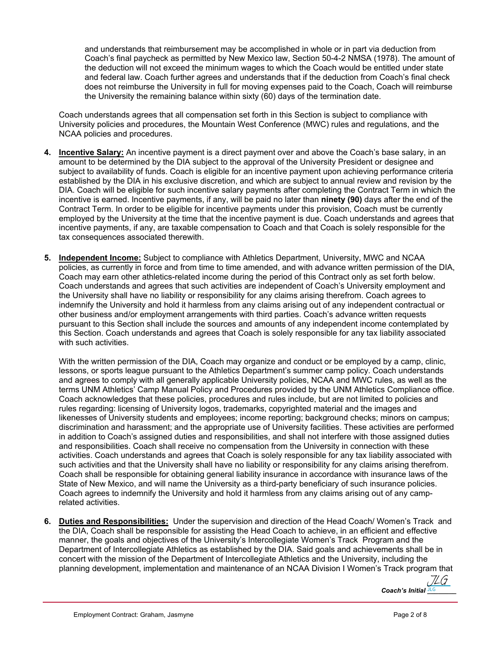and understands that reimbursement may be accomplished in whole or in part via deduction from Coach's final paycheck as permitted by New Mexico law, Section 50-4-2 NMSA (1978). The amount of the deduction will not exceed the minimum wages to which the Coach would be entitled under state and federal law. Coach further agrees and understands that if the deduction from Coach's final check does not reimburse the University in full for moving expenses paid to the Coach, Coach will reimburse the University the remaining balance within sixty (60) days of the termination date.

Coach understands agrees that all compensation set forth in this Section is subject to compliance with University policies and procedures, the Mountain West Conference (MWC) rules and regulations, and the NCAA policies and procedures.

- **4. Incentive Salary:** An incentive payment is a direct payment over and above the Coach's base salary, in an amount to be determined by the DIA subject to the approval of the University President or designee and subject to availability of funds. Coach is eligible for an incentive payment upon achieving performance criteria established by the DIA in his exclusive discretion, and which are subject to annual review and revision by the DIA. Coach will be eligible for such incentive salary payments after completing the Contract Term in which the incentive is earned. Incentive payments, if any, will be paid no later than **ninety (90)** days after the end of the Contract Term. In order to be eligible for incentive payments under this provision, Coach must be currently employed by the University at the time that the incentive payment is due. Coach understands and agrees that incentive payments, if any, are taxable compensation to Coach and that Coach is solely responsible for the tax consequences associated therewith.
- **5. Independent Income:** Subject to compliance with Athletics Department, University, MWC and NCAA policies, as currently in force and from time to time amended, and with advance written permission of the DIA, Coach may earn other athletics-related income during the period of this Contract only as set forth below. Coach understands and agrees that such activities are independent of Coach's University employment and the University shall have no liability or responsibility for any claims arising therefrom. Coach agrees to indemnify the University and hold it harmless from any claims arising out of any independent contractual or other business and/or employment arrangements with third parties. Coach's advance written requests pursuant to this Section shall include the sources and amounts of any independent income contemplated by this Section. Coach understands and agrees that Coach is solely responsible for any tax liability associated with such activities.

With the written permission of the DIA, Coach may organize and conduct or be employed by a camp, clinic, lessons, or sports league pursuant to the Athletics Department's summer camp policy. Coach understands and agrees to comply with all generally applicable University policies, NCAA and MWC rules, as well as the terms UNM Athletics' Camp Manual Policy and Procedures provided by the UNM Athletics Compliance office. Coach acknowledges that these policies, procedures and rules include, but are not limited to policies and rules regarding: licensing of University logos, trademarks, copyrighted material and the images and likenesses of University students and employees; income reporting; background checks; minors on campus; discrimination and harassment; and the appropriate use of University facilities. These activities are performed in addition to Coach's assigned duties and responsibilities, and shall not interfere with those assigned duties and responsibilities. Coach shall receive no compensation from the University in connection with these activities. Coach understands and agrees that Coach is solely responsible for any tax liability associated with such activities and that the University shall have no liability or responsibility for any claims arising therefrom. Coach shall be responsible for obtaining general liability insurance in accordance with insurance laws of the State of New Mexico, and will name the University as a third-party beneficiary of such insurance policies. Coach agrees to indemnify the University and hold it harmless from any claims arising out of any camprelated activities.

**6. Duties and Responsibilities:** Under the supervision and direction of the Head Coach/ Women's Track and the DIA, Coach shall be responsible for assisting the Head Coach to achieve, in an efficient and effective manner, the goals and objectives of the University's Intercollegiate Women's Track Program and the Department of Intercollegiate Athletics as established by the DIA. Said goals and achievements shall be in concert with the mission of the Department of Intercollegiate Athletics and the University, including the planning development, implementation and maintenance of an NCAA Division I Women's Track program that

> *Coach's Initial* JLG [JLG](https://secure.na2.echosign.com/verifier?tx=CBJCHBCAABAAz8VWRG3pt4TVYRJx3ADktlysMnZux-WL)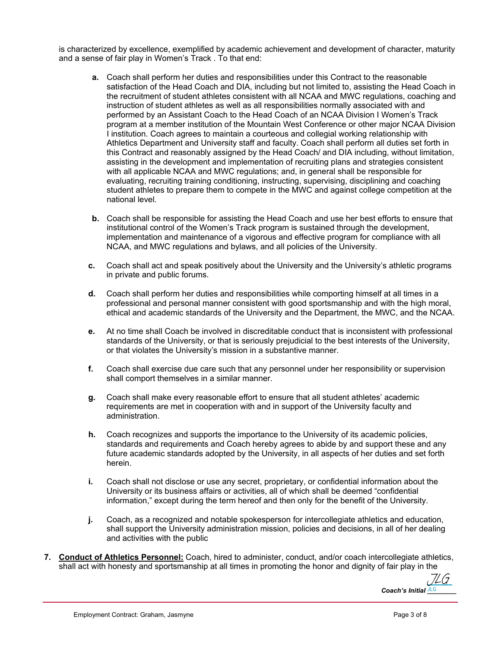is characterized by excellence, exemplified by academic achievement and development of character, maturity and a sense of fair play in Women's Track . To that end:

- **a.** Coach shall perform her duties and responsibilities under this Contract to the reasonable satisfaction of the Head Coach and DIA, including but not limited to, assisting the Head Coach in the recruitment of student athletes consistent with all NCAA and MWC regulations, coaching and instruction of student athletes as well as all responsibilities normally associated with and performed by an Assistant Coach to the Head Coach of an NCAA Division I Women's Track program at a member institution of the Mountain West Conference or other major NCAA Division I institution. Coach agrees to maintain a courteous and collegial working relationship with Athletics Department and University staff and faculty. Coach shall perform all duties set forth in this Contract and reasonably assigned by the Head Coach/ and DIA including, without limitation, assisting in the development and implementation of recruiting plans and strategies consistent with all applicable NCAA and MWC regulations; and, in general shall be responsible for evaluating, recruiting training conditioning, instructing, supervising, disciplining and coaching student athletes to prepare them to compete in the MWC and against college competition at the national level.
- **b.** Coach shall be responsible for assisting the Head Coach and use her best efforts to ensure that institutional control of the Women's Track program is sustained through the development, implementation and maintenance of a vigorous and effective program for compliance with all NCAA, and MWC regulations and bylaws, and all policies of the University.
- **c.** Coach shall act and speak positively about the University and the University's athletic programs in private and public forums.
- **d.** Coach shall perform her duties and responsibilities while comporting himself at all times in a professional and personal manner consistent with good sportsmanship and with the high moral, ethical and academic standards of the University and the Department, the MWC, and the NCAA.
- **e.** At no time shall Coach be involved in discreditable conduct that is inconsistent with professional standards of the University, or that is seriously prejudicial to the best interests of the University, or that violates the University's mission in a substantive manner.
- **f.** Coach shall exercise due care such that any personnel under her responsibility or supervision shall comport themselves in a similar manner.
- **g.** Coach shall make every reasonable effort to ensure that all student athletes' academic requirements are met in cooperation with and in support of the University faculty and administration.
- **h.** Coach recognizes and supports the importance to the University of its academic policies, standards and requirements and Coach hereby agrees to abide by and support these and any future academic standards adopted by the University, in all aspects of her duties and set forth herein.
- **i.** Coach shall not disclose or use any secret, proprietary, or confidential information about the University or its business affairs or activities, all of which shall be deemed "confidential information," except during the term hereof and then only for the benefit of the University.
- **j.** Coach, as a recognized and notable spokesperson for intercollegiate athletics and education, shall support the University administration mission, policies and decisions, in all of her dealing and activities with the public
- **7. Conduct of Athletics Personnel:** Coach, hired to administer, conduct, and/or coach intercollegiate athletics, shall act with honesty and sportsmanship at all times in promoting the honor and dignity of fair play in the

Coach's Initial **JLG** [JLG](https://secure.na2.echosign.com/verifier?tx=CBJCHBCAABAAz8VWRG3pt4TVYRJx3ADktlysMnZux-WL)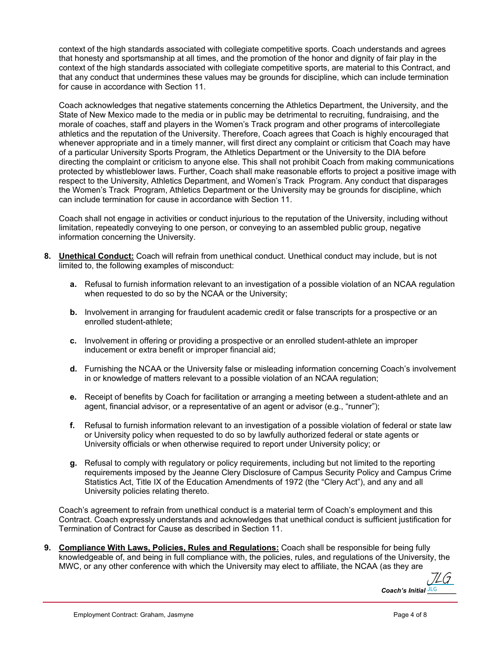context of the high standards associated with collegiate competitive sports. Coach understands and agrees that honesty and sportsmanship at all times, and the promotion of the honor and dignity of fair play in the context of the high standards associated with collegiate competitive sports, are material to this Contract, and that any conduct that undermines these values may be grounds for discipline, which can include termination for cause in accordance with Section 11.

Coach acknowledges that negative statements concerning the Athletics Department, the University, and the State of New Mexico made to the media or in public may be detrimental to recruiting, fundraising, and the morale of coaches, staff and players in the Women's Track program and other programs of intercollegiate athletics and the reputation of the University. Therefore, Coach agrees that Coach is highly encouraged that whenever appropriate and in a timely manner, will first direct any complaint or criticism that Coach may have of a particular University Sports Program, the Athletics Department or the University to the DIA before directing the complaint or criticism to anyone else. This shall not prohibit Coach from making communications protected by whistleblower laws. Further, Coach shall make reasonable efforts to project a positive image with respect to the University, Athletics Department, and Women's Track Program. Any conduct that disparages the Women's Track Program, Athletics Department or the University may be grounds for discipline, which can include termination for cause in accordance with Section 11.

Coach shall not engage in activities or conduct injurious to the reputation of the University, including without limitation, repeatedly conveying to one person, or conveying to an assembled public group, negative information concerning the University.

- **8. Unethical Conduct:** Coach will refrain from unethical conduct. Unethical conduct may include, but is not limited to, the following examples of misconduct:
	- **a.** Refusal to furnish information relevant to an investigation of a possible violation of an NCAA regulation when requested to do so by the NCAA or the University;
	- **b.** Involvement in arranging for fraudulent academic credit or false transcripts for a prospective or an enrolled student-athlete;
	- **c.** Involvement in offering or providing a prospective or an enrolled student-athlete an improper inducement or extra benefit or improper financial aid;
	- **d.** Furnishing the NCAA or the University false or misleading information concerning Coach's involvement in or knowledge of matters relevant to a possible violation of an NCAA regulation;
	- **e.** Receipt of benefits by Coach for facilitation or arranging a meeting between a student-athlete and an agent, financial advisor, or a representative of an agent or advisor (e.g., "runner");
	- **f.** Refusal to furnish information relevant to an investigation of a possible violation of federal or state law or University policy when requested to do so by lawfully authorized federal or state agents or University officials or when otherwise required to report under University policy; or
	- **g.** Refusal to comply with regulatory or policy requirements, including but not limited to the reporting requirements imposed by the Jeanne Clery Disclosure of Campus Security Policy and Campus Crime Statistics Act, Title IX of the Education Amendments of 1972 (the "Clery Act"), and any and all University policies relating thereto.

Coach's agreement to refrain from unethical conduct is a material term of Coach's employment and this Contract. Coach expressly understands and acknowledges that unethical conduct is sufficient justification for Termination of Contract for Cause as described in Section 11.

**9. Compliance With Laws, Policies, Rules and Regulations:** Coach shall be responsible for being fully knowledgeable of, and being in full compliance with, the policies, rules, and regulations of the University, the MWC, or any other conference with which the University may elect to affiliate, the NCAA (as they are

Coach's Initial **JLG** [JLG](https://secure.na2.echosign.com/verifier?tx=CBJCHBCAABAAz8VWRG3pt4TVYRJx3ADktlysMnZux-WL)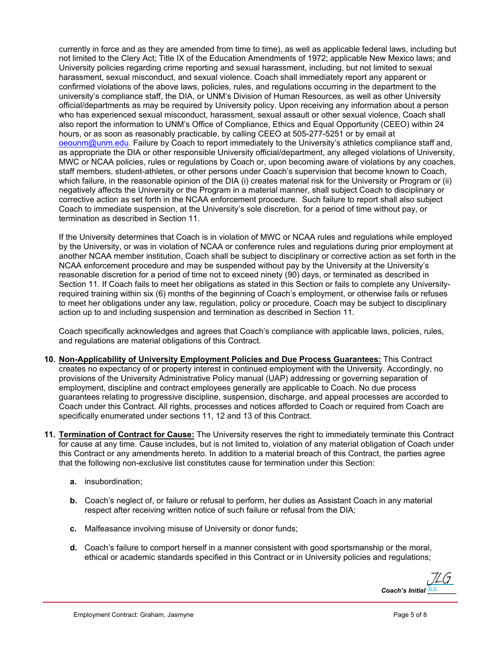currently in force and as they are amended from time to time), as well as applicable federal laws, including but not limited to the Clery Act; Title IX of the Education Amendments of 1972; applicable New Mexico laws; and University policies regarding crime reporting and sexual harassment, including, but not limited to sexual harassment, sexual misconduct, and sexual violence. Coach shall immediately report any apparent or confirmed violations of the above laws, policies, rules, and regulations occurring in the department to the university's compliance staff, the DIA, or UNM's Division of Human Resources, as well as other University official/departments as may be required by University policy. Upon receiving any information about a person who has experienced sexual misconduct, harassment, sexual assault or other sexual violence, Coach shall also report the information to UNM's Office of Compliance, Ethics and Equal Opportunity (CEEO) within 24 hours, or as soon as reasonably practicable, by calling CEEO at 505-277-5251 or by email at [oeounm@unm.edu.](mailto:oeounm@unm.edu) Failure by Coach to report immediately to the University's athletics compliance staff and, as appropriate the DIA or other responsible University official/department, any alleged violations of University, MWC or NCAA policies, rules or regulations by Coach or, upon becoming aware of violations by any coaches, staff members, student-athletes, or other persons under Coach's supervision that become known to Coach, which failure, in the reasonable opinion of the DIA (i) creates material risk for the University or Program or (ii) negatively affects the University or the Program in a material manner, shall subject Coach to disciplinary or corrective action as set forth in the NCAA enforcement procedure. Such failure to report shall also subject Coach to immediate suspension, at the University's sole discretion, for a period of time without pay, or termination as described in Section 11.

If the University determines that Coach is in violation of MWC or NCAA rules and regulations while employed by the University, or was in violation of NCAA or conference rules and regulations during prior employment at another NCAA member institution, Coach shall be subject to disciplinary or corrective action as set forth in the NCAA enforcement procedure and may be suspended without pay by the University at the University's reasonable discretion for a period of time not to exceed ninety (90) days, or terminated as described in Section 11. If Coach fails to meet her obligations as stated in this Section or fails to complete any Universityrequired training within six (6) months of the beginning of Coach's employment, or otherwise fails or refuses to meet her obligations under any law, regulation, policy or procedure, Coach may be subject to disciplinary action up to and including suspension and termination as described in Section 11.

Coach specifically acknowledges and agrees that Coach's compliance with applicable laws, policies, rules, and regulations are material obligations of this Contract.

- **10. Non-Applicability of University Employment Policies and Due Process Guarantees:** This Contract creates no expectancy of or property interest in continued employment with the University. Accordingly, no provisions of the University Administrative Policy manual (UAP) addressing or governing separation of employment, discipline and contract employees generally are applicable to Coach. No due process guarantees relating to progressive discipline, suspension, discharge, and appeal processes are accorded to Coach under this Contract. All rights, processes and notices afforded to Coach or required from Coach are specifically enumerated under sections 11, 12 and 13 of this Contract.
- **11. Termination of Contract for Cause:** The University reserves the right to immediately terminate this Contract for cause at any time. Cause includes, but is not limited to, violation of any material obligation of Coach under this Contract or any amendments hereto. In addition to a material breach of this Contract, the parties agree that the following non-exclusive list constitutes cause for termination under this Section:
	- **a.** insubordination;
	- **b.** Coach's neglect of, or failure or refusal to perform, her duties as Assistant Coach in any material respect after receiving written notice of such failure or refusal from the DIA;
	- **c.** Malfeasance involving misuse of University or donor funds;
	- **d.** Coach's failure to comport herself in a manner consistent with good sportsmanship or the moral, ethical or academic standards specified in this Contract or in University policies and regulations;

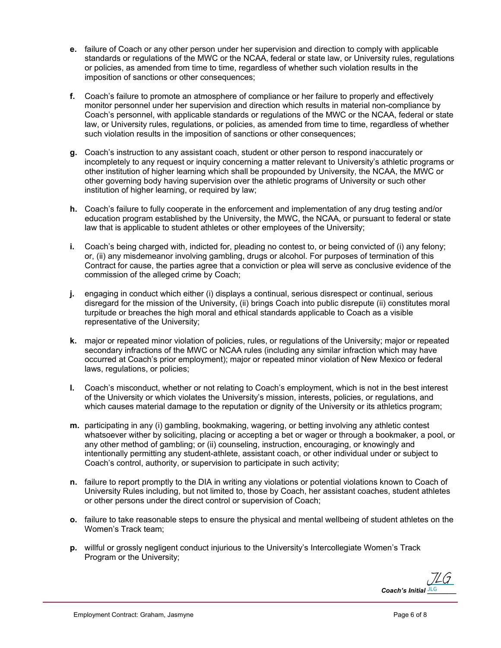- **e.** failure of Coach or any other person under her supervision and direction to comply with applicable standards or regulations of the MWC or the NCAA, federal or state law, or University rules, regulations or policies, as amended from time to time, regardless of whether such violation results in the imposition of sanctions or other consequences;
- **f.** Coach's failure to promote an atmosphere of compliance or her failure to properly and effectively monitor personnel under her supervision and direction which results in material non-compliance by Coach's personnel, with applicable standards or regulations of the MWC or the NCAA, federal or state law, or University rules, regulations, or policies, as amended from time to time, regardless of whether such violation results in the imposition of sanctions or other consequences;
- **g.** Coach's instruction to any assistant coach, student or other person to respond inaccurately or incompletely to any request or inquiry concerning a matter relevant to University's athletic programs or other institution of higher learning which shall be propounded by University, the NCAA, the MWC or other governing body having supervision over the athletic programs of University or such other institution of higher learning, or required by law;
- **h.** Coach's failure to fully cooperate in the enforcement and implementation of any drug testing and/or education program established by the University, the MWC, the NCAA, or pursuant to federal or state law that is applicable to student athletes or other employees of the University;
- **i.** Coach's being charged with, indicted for, pleading no contest to, or being convicted of (i) any felony; or, (ii) any misdemeanor involving gambling, drugs or alcohol. For purposes of termination of this Contract for cause, the parties agree that a conviction or plea will serve as conclusive evidence of the commission of the alleged crime by Coach;
- **j.** engaging in conduct which either (i) displays a continual, serious disrespect or continual, serious disregard for the mission of the University, (ii) brings Coach into public disrepute (ii) constitutes moral turpitude or breaches the high moral and ethical standards applicable to Coach as a visible representative of the University;
- **k.** major or repeated minor violation of policies, rules, or regulations of the University; major or repeated secondary infractions of the MWC or NCAA rules (including any similar infraction which may have occurred at Coach's prior employment); major or repeated minor violation of New Mexico or federal laws, regulations, or policies;
- **l.** Coach's misconduct, whether or not relating to Coach's employment, which is not in the best interest of the University or which violates the University's mission, interests, policies, or regulations, and which causes material damage to the reputation or dignity of the University or its athletics program;
- **m.** participating in any (i) gambling, bookmaking, wagering, or betting involving any athletic contest whatsoever wither by soliciting, placing or accepting a bet or wager or through a bookmaker, a pool, or any other method of gambling; or (ii) counseling, instruction, encouraging, or knowingly and intentionally permitting any student-athlete, assistant coach, or other individual under or subject to Coach's control, authority, or supervision to participate in such activity;
- **n.** failure to report promptly to the DIA in writing any violations or potential violations known to Coach of University Rules including, but not limited to, those by Coach, her assistant coaches, student athletes or other persons under the direct control or supervision of Coach;
- **o.** failure to take reasonable steps to ensure the physical and mental wellbeing of student athletes on the Women's Track team;
- **p.** willful or grossly negligent conduct injurious to the University's Intercollegiate Women's Track Program or the University;

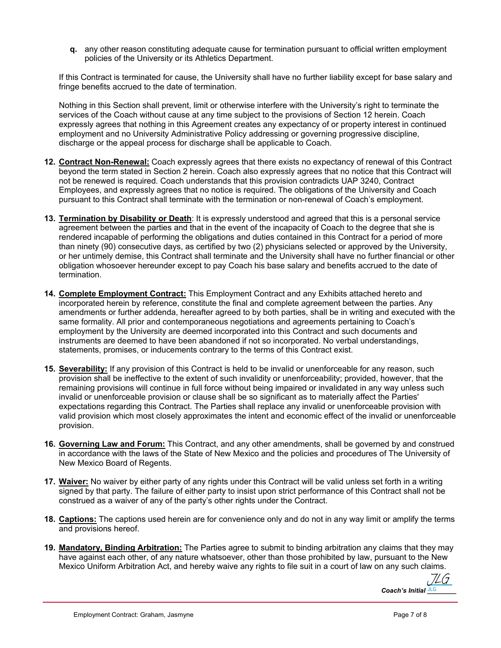**q.** any other reason constituting adequate cause for termination pursuant to official written employment policies of the University or its Athletics Department.

If this Contract is terminated for cause, the University shall have no further liability except for base salary and fringe benefits accrued to the date of termination.

Nothing in this Section shall prevent, limit or otherwise interfere with the University's right to terminate the services of the Coach without cause at any time subject to the provisions of Section 12 herein. Coach expressly agrees that nothing in this Agreement creates any expectancy of or property interest in continued employment and no University Administrative Policy addressing or governing progressive discipline, discharge or the appeal process for discharge shall be applicable to Coach.

- **12. Contract Non-Renewal:** Coach expressly agrees that there exists no expectancy of renewal of this Contract beyond the term stated in Section 2 herein. Coach also expressly agrees that no notice that this Contract will not be renewed is required. Coach understands that this provision contradicts UAP 3240, Contract Employees, and expressly agrees that no notice is required. The obligations of the University and Coach pursuant to this Contract shall terminate with the termination or non-renewal of Coach's employment.
- **13. Termination by Disability or Death**: It is expressly understood and agreed that this is a personal service agreement between the parties and that in the event of the incapacity of Coach to the degree that she is rendered incapable of performing the obligations and duties contained in this Contract for a period of more than ninety (90) consecutive days, as certified by two (2) physicians selected or approved by the University, or her untimely demise, this Contract shall terminate and the University shall have no further financial or other obligation whosoever hereunder except to pay Coach his base salary and benefits accrued to the date of termination.
- **14. Complete Employment Contract:** This Employment Contract and any Exhibits attached hereto and incorporated herein by reference, constitute the final and complete agreement between the parties. Any amendments or further addenda, hereafter agreed to by both parties, shall be in writing and executed with the same formality. All prior and contemporaneous negotiations and agreements pertaining to Coach's employment by the University are deemed incorporated into this Contract and such documents and instruments are deemed to have been abandoned if not so incorporated. No verbal understandings, statements, promises, or inducements contrary to the terms of this Contract exist.
- **15. Severability:** If any provision of this Contract is held to be invalid or unenforceable for any reason, such provision shall be ineffective to the extent of such invalidity or unenforceability; provided, however, that the remaining provisions will continue in full force without being impaired or invalidated in any way unless such invalid or unenforceable provision or clause shall be so significant as to materially affect the Parties' expectations regarding this Contract. The Parties shall replace any invalid or unenforceable provision with valid provision which most closely approximates the intent and economic effect of the invalid or unenforceable provision.
- **16. Governing Law and Forum:** This Contract, and any other amendments, shall be governed by and construed in accordance with the laws of the State of New Mexico and the policies and procedures of The University of New Mexico Board of Regents.
- **17. Waiver:** No waiver by either party of any rights under this Contract will be valid unless set forth in a writing signed by that party. The failure of either party to insist upon strict performance of this Contract shall not be construed as a waiver of any of the party's other rights under the Contract.
- **18. Captions:** The captions used herein are for convenience only and do not in any way limit or amplify the terms and provisions hereof.
- **19. Mandatory, Binding Arbitration:** The Parties agree to submit to binding arbitration any claims that they may have against each other, of any nature whatsoever, other than those prohibited by law, pursuant to the New Mexico Uniform Arbitration Act, and hereby waive any rights to file suit in a court of law on any such claims.

Coach's Initial **JLG** [JLG](https://secure.na2.echosign.com/verifier?tx=CBJCHBCAABAAz8VWRG3pt4TVYRJx3ADktlysMnZux-WL)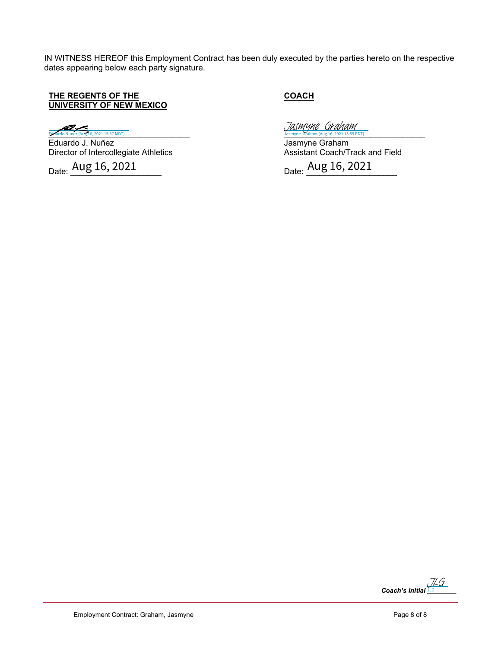IN WITNESS HEREOF this Employment Contract has been duly executed by the parties hereto on the respective dates appearing below each party signature.

## **THE REGENTS OF THE UNIVERSITY OF NEW MEXICO**

Eduardo Nunez (Aug 16, 2021 15:57 MDT)

Eduardo J. Nuñez Director of Intercollegiate Athletics

Date:  $\frac{\text{Aug 16, 2021}}{\text{Aug 16, 2021}}$ 

**COACH**

 $J$ asmyne Graham (Aug 16, 2021 13:55 PDT)<br>[Jasmyne Graham](https://secure.na2.echosign.com/verifier?tx=CBJCHBCAABAAz8VWRG3pt4TVYRJx3ADktlysMnZux-WL) (Aug 16, 2021 13:55 PDT)

Jasmyne Graham Assistant Coach/Track and Field

Date: <u>Aug 16, 2021</u>